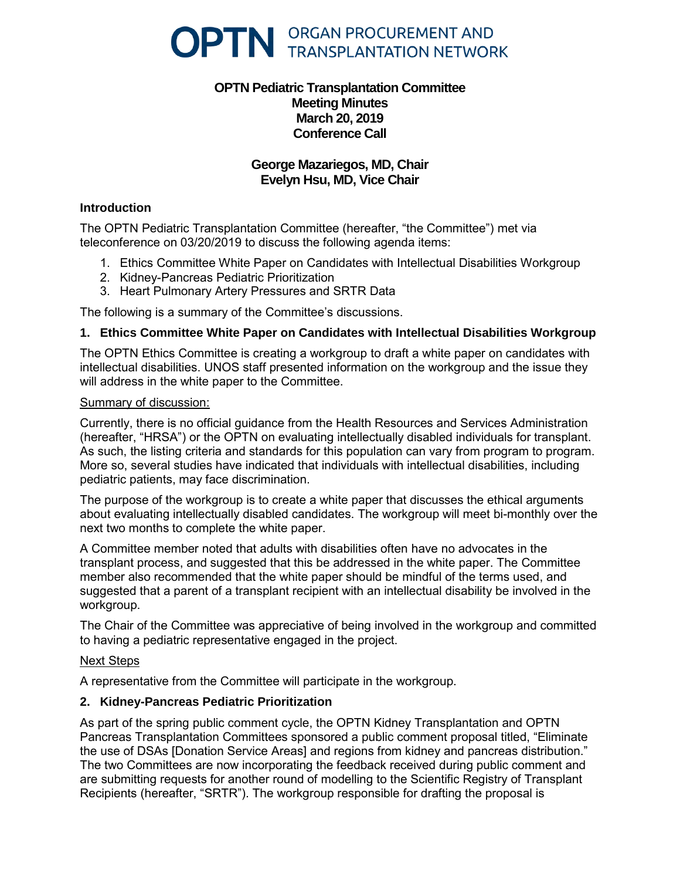

# **OPTN Pediatric Transplantation Committee Meeting Minutes March 20, 2019 Conference Call**

# **George Mazariegos, MD, Chair Evelyn Hsu, MD, Vice Chair**

## **Introduction**

The OPTN Pediatric Transplantation Committee (hereafter, "the Committee") met via teleconference on 03/20/2019 to discuss the following agenda items:

- 1. Ethics Committee White Paper on Candidates with Intellectual Disabilities Workgroup
- 2. Kidney-Pancreas Pediatric Prioritization
- 3. Heart Pulmonary Artery Pressures and SRTR Data

The following is a summary of the Committee's discussions.

# **1. Ethics Committee White Paper on Candidates with Intellectual Disabilities Workgroup**

The OPTN Ethics Committee is creating a workgroup to draft a white paper on candidates with intellectual disabilities. UNOS staff presented information on the workgroup and the issue they will address in the white paper to the Committee.

#### Summary of discussion:

Currently, there is no official guidance from the Health Resources and Services Administration (hereafter, "HRSA") or the OPTN on evaluating intellectually disabled individuals for transplant. As such, the listing criteria and standards for this population can vary from program to program. More so, several studies have indicated that individuals with intellectual disabilities, including pediatric patients, may face discrimination.

The purpose of the workgroup is to create a white paper that discusses the ethical arguments about evaluating intellectually disabled candidates. The workgroup will meet bi-monthly over the next two months to complete the white paper.

A Committee member noted that adults with disabilities often have no advocates in the transplant process, and suggested that this be addressed in the white paper. The Committee member also recommended that the white paper should be mindful of the terms used, and suggested that a parent of a transplant recipient with an intellectual disability be involved in the workgroup.

The Chair of the Committee was appreciative of being involved in the workgroup and committed to having a pediatric representative engaged in the project.

#### Next Steps

A representative from the Committee will participate in the workgroup.

## **2. Kidney-Pancreas Pediatric Prioritization**

As part of the spring public comment cycle, the OPTN Kidney Transplantation and OPTN Pancreas Transplantation Committees sponsored a public comment proposal titled, "Eliminate the use of DSAs [Donation Service Areas] and regions from kidney and pancreas distribution." The two Committees are now incorporating the feedback received during public comment and are submitting requests for another round of modelling to the Scientific Registry of Transplant Recipients (hereafter, "SRTR"). The workgroup responsible for drafting the proposal is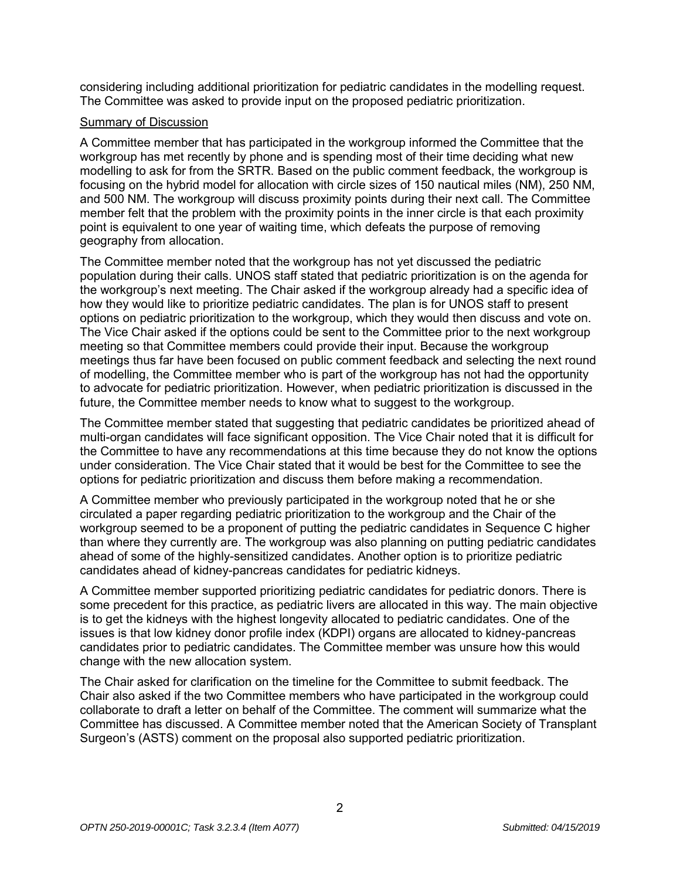considering including additional prioritization for pediatric candidates in the modelling request. The Committee was asked to provide input on the proposed pediatric prioritization.

## Summary of Discussion

A Committee member that has participated in the workgroup informed the Committee that the workgroup has met recently by phone and is spending most of their time deciding what new modelling to ask for from the SRTR. Based on the public comment feedback, the workgroup is focusing on the hybrid model for allocation with circle sizes of 150 nautical miles (NM), 250 NM, and 500 NM. The workgroup will discuss proximity points during their next call. The Committee member felt that the problem with the proximity points in the inner circle is that each proximity point is equivalent to one year of waiting time, which defeats the purpose of removing geography from allocation.

The Committee member noted that the workgroup has not yet discussed the pediatric population during their calls. UNOS staff stated that pediatric prioritization is on the agenda for the workgroup's next meeting. The Chair asked if the workgroup already had a specific idea of how they would like to prioritize pediatric candidates. The plan is for UNOS staff to present options on pediatric prioritization to the workgroup, which they would then discuss and vote on. The Vice Chair asked if the options could be sent to the Committee prior to the next workgroup meeting so that Committee members could provide their input. Because the workgroup meetings thus far have been focused on public comment feedback and selecting the next round of modelling, the Committee member who is part of the workgroup has not had the opportunity to advocate for pediatric prioritization. However, when pediatric prioritization is discussed in the future, the Committee member needs to know what to suggest to the workgroup.

The Committee member stated that suggesting that pediatric candidates be prioritized ahead of multi-organ candidates will face significant opposition. The Vice Chair noted that it is difficult for the Committee to have any recommendations at this time because they do not know the options under consideration. The Vice Chair stated that it would be best for the Committee to see the options for pediatric prioritization and discuss them before making a recommendation.

A Committee member who previously participated in the workgroup noted that he or she circulated a paper regarding pediatric prioritization to the workgroup and the Chair of the workgroup seemed to be a proponent of putting the pediatric candidates in Sequence C higher than where they currently are. The workgroup was also planning on putting pediatric candidates ahead of some of the highly-sensitized candidates. Another option is to prioritize pediatric candidates ahead of kidney-pancreas candidates for pediatric kidneys.

A Committee member supported prioritizing pediatric candidates for pediatric donors. There is some precedent for this practice, as pediatric livers are allocated in this way. The main objective is to get the kidneys with the highest longevity allocated to pediatric candidates. One of the issues is that low kidney donor profile index (KDPI) organs are allocated to kidney-pancreas candidates prior to pediatric candidates. The Committee member was unsure how this would change with the new allocation system.

The Chair asked for clarification on the timeline for the Committee to submit feedback. The Chair also asked if the two Committee members who have participated in the workgroup could collaborate to draft a letter on behalf of the Committee. The comment will summarize what the Committee has discussed. A Committee member noted that the American Society of Transplant Surgeon's (ASTS) comment on the proposal also supported pediatric prioritization.